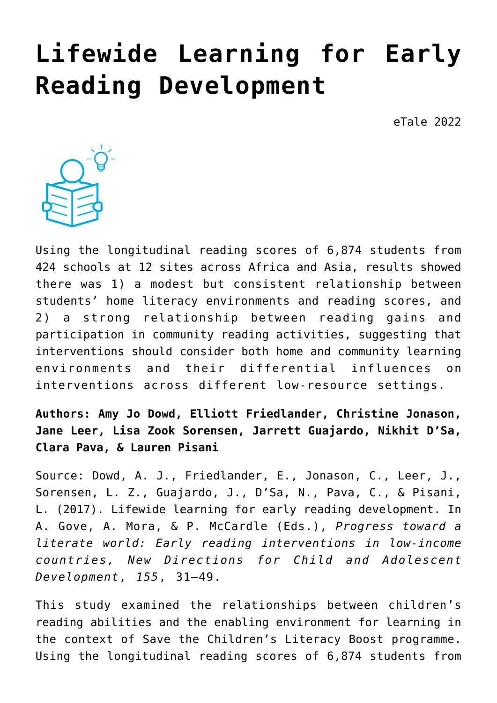# **[Lifewide Learning for Early](https://dev.taleafrica.com/2021/04/12/lifewide-learning-for-early-reading-development/) [Reading Development](https://dev.taleafrica.com/2021/04/12/lifewide-learning-for-early-reading-development/)**

eTale 2022



Using the longitudinal reading scores of 6,874 students from 424 schools at 12 sites across Africa and Asia, results showed there was 1) a modest but consistent relationship between students' home literacy environments and reading scores, and 2) a strong relationship between reading gains and participation in community reading activities, suggesting that interventions should consider both home and community learning environments and their differential influences on interventions across different low-resource settings.

## **Authors: Amy Jo Dowd, Elliott Friedlander, Christine Jonason, Jane Leer, Lisa Zook Sorensen, Jarrett Guajardo, Nikhit D'Sa, Clara Pava, & Lauren Pisani**

Source: Dowd, A. J., Friedlander, E., Jonason, C., Leer, J., Sorensen, L. Z., Guajardo, J., D'Sa, N., Pava, C., & Pisani, L. (2017). Lifewide learning for early reading development. In A. Gove, A. Mora, & P. McCardle (Eds.), *Progress toward a literate world: Early reading interventions in low-income countries, New Directions for Child and Adolescent Development*, *155*, 31–49.

This study examined the relationships between children's reading abilities and the enabling environment for learning in the context of Save the Children's Literacy Boost programme. Using the longitudinal reading scores of 6,874 students from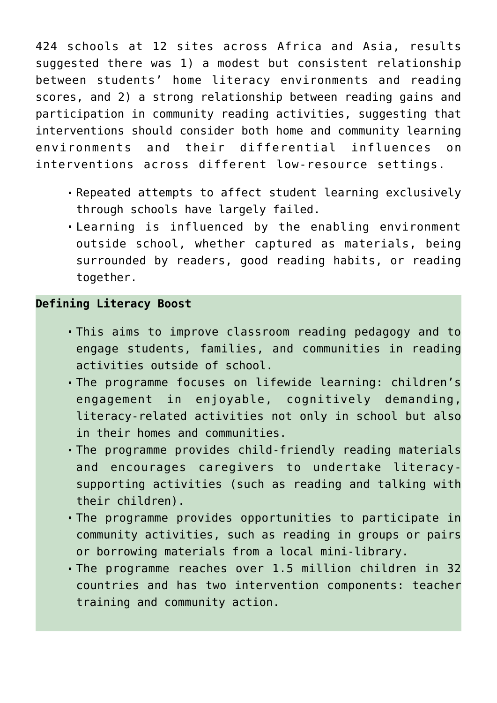424 schools at 12 sites across Africa and Asia, results suggested there was 1) a modest but consistent relationship between students' home literacy environments and reading scores, and 2) a strong relationship between reading gains and participation in community reading activities, suggesting that interventions should consider both home and community learning environments and their differential influences on interventions across different low-resource settings.

- Repeated attempts to affect student learning exclusively through schools have largely failed.
- Learning is influenced by the enabling environment outside school, whether captured as materials, being surrounded by readers, good reading habits, or reading together.

#### **Defining Literacy Boost**

- This aims to improve classroom reading pedagogy and to engage students, families, and communities in reading activities outside of school.
- The programme focuses on lifewide learning: children's engagement in enjoyable, cognitively demanding, literacy-related activities not only in school but also in their homes and communities.
- The programme provides child-friendly reading materials and encourages caregivers to undertake literacysupporting activities (such as reading and talking with their children).
- The programme provides opportunities to participate in community activities, such as reading in groups or pairs or borrowing materials from a local mini-library.
- The programme reaches over 1.5 million children in 32 countries and has two intervention components: teacher training and community action.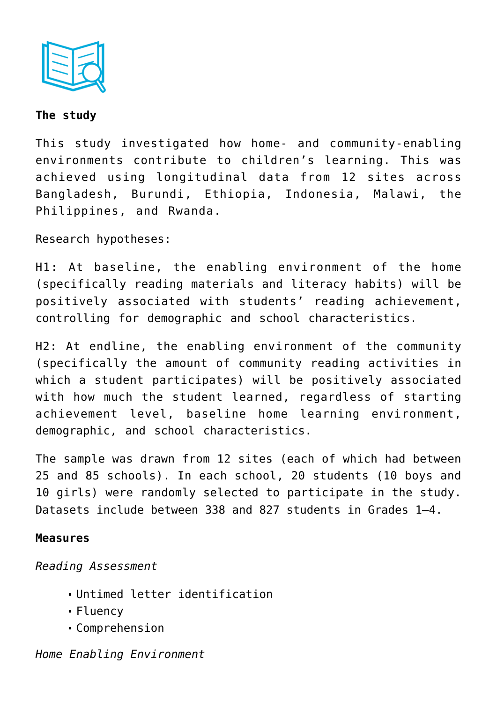

### **The study**

This study investigated how home- and community-enabling environments contribute to children's learning. This was achieved using longitudinal data from 12 sites across Bangladesh, Burundi, Ethiopia, Indonesia, Malawi, the Philippines, and Rwanda.

Research hypotheses:

H1: At baseline, the enabling environment of the home (specifically reading materials and literacy habits) will be positively associated with students' reading achievement, controlling for demographic and school characteristics.

H2: At endline, the enabling environment of the community (specifically the amount of community reading activities in which a student participates) will be positively associated with how much the student learned, regardless of starting achievement level, baseline home learning environment, demographic, and school characteristics.

The sample was drawn from 12 sites (each of which had between 25 and 85 schools). In each school, 20 students (10 boys and 10 girls) were randomly selected to participate in the study. Datasets include between 338 and 827 students in Grades 1–4.

#### **Measures**

*Reading Assessment*

- Untimed letter identification
- Fluency
- Comprehension

## *Home Enabling Environment*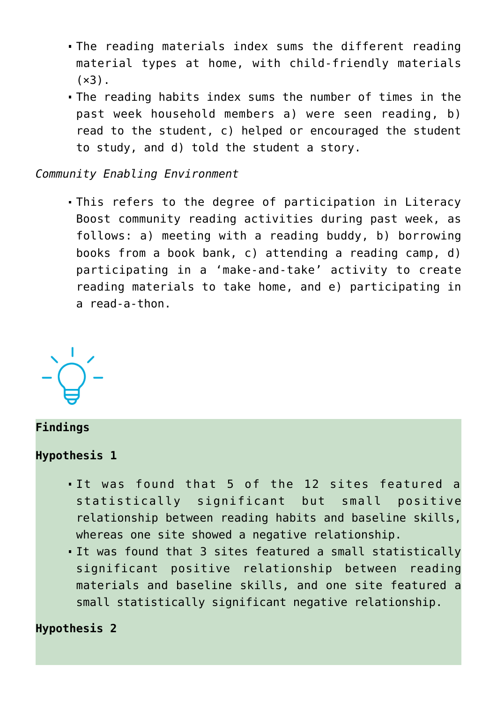- The reading materials index sums the different reading material types at home, with child-friendly materials  $(x3)$ .
- The reading habits index sums the number of times in the past week household members a) were seen reading, b) read to the student, c) helped or encouraged the student to study, and d) told the student a story.

#### *Community Enabling Environment*

This refers to the degree of participation in Literacy Boost community reading activities during past week, as follows: a) meeting with a reading buddy, b) borrowing books from a book bank, c) attending a reading camp, d) participating in a 'make-and-take' activity to create reading materials to take home, and e) participating in a read-a-thon.



## **Findings**

#### **Hypothesis 1**

- It was found that 5 of the 12 sites featured a statistically significant but small positive relationship between reading habits and baseline skills, whereas one site showed a negative relationship.
- It was found that 3 sites featured a small statistically significant positive relationship between reading materials and baseline skills, and one site featured a small statistically significant negative relationship.

## **Hypothesis 2**